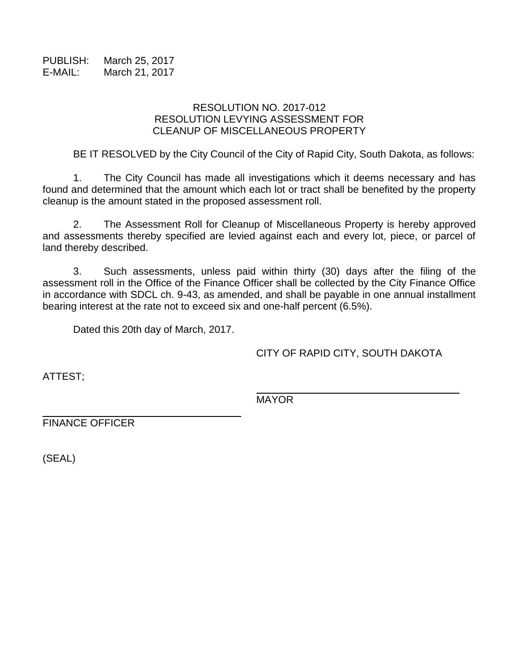PUBLISH: March 25, 2017 E-MAIL: March 21, 2017

## RESOLUTION NO. 2017-012 RESOLUTION LEVYING ASSESSMENT FOR CLEANUP OF MISCELLANEOUS PROPERTY

BE IT RESOLVED by the City Council of the City of Rapid City, South Dakota, as follows:

1. The City Council has made all investigations which it deems necessary and has found and determined that the amount which each lot or tract shall be benefited by the property cleanup is the amount stated in the proposed assessment roll.

2. The Assessment Roll for Cleanup of Miscellaneous Property is hereby approved and assessments thereby specified are levied against each and every lot, piece, or parcel of land thereby described.

3. Such assessments, unless paid within thirty (30) days after the filing of the assessment roll in the Office of the Finance Officer shall be collected by the City Finance Office in accordance with SDCL ch. 9-43, as amended, and shall be payable in one annual installment bearing interest at the rate not to exceed six and one-half percent (6.5%).

Dated this 20th day of March, 2017.

CITY OF RAPID CITY, SOUTH DAKOTA

ATTEST;

MAYOR

FINANCE OFFICER

(SEAL)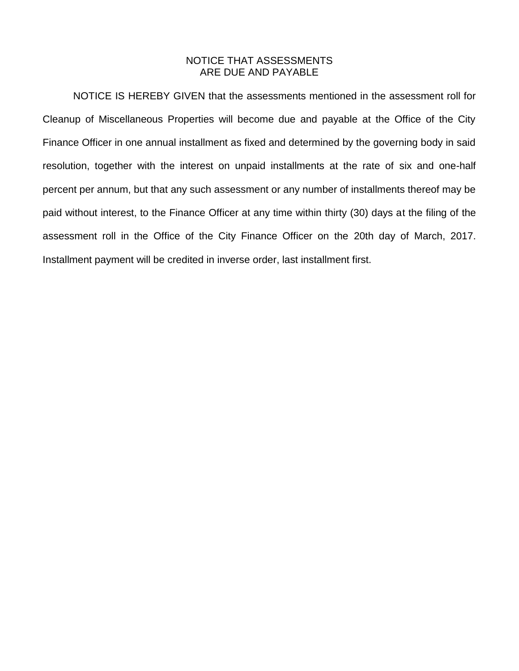## NOTICE THAT ASSESSMENTS ARE DUE AND PAYABLE

NOTICE IS HEREBY GIVEN that the assessments mentioned in the assessment roll for Cleanup of Miscellaneous Properties will become due and payable at the Office of the City Finance Officer in one annual installment as fixed and determined by the governing body in said resolution, together with the interest on unpaid installments at the rate of six and one-half percent per annum, but that any such assessment or any number of installments thereof may be paid without interest, to the Finance Officer at any time within thirty (30) days at the filing of the assessment roll in the Office of the City Finance Officer on the 20th day of March, 2017. Installment payment will be credited in inverse order, last installment first.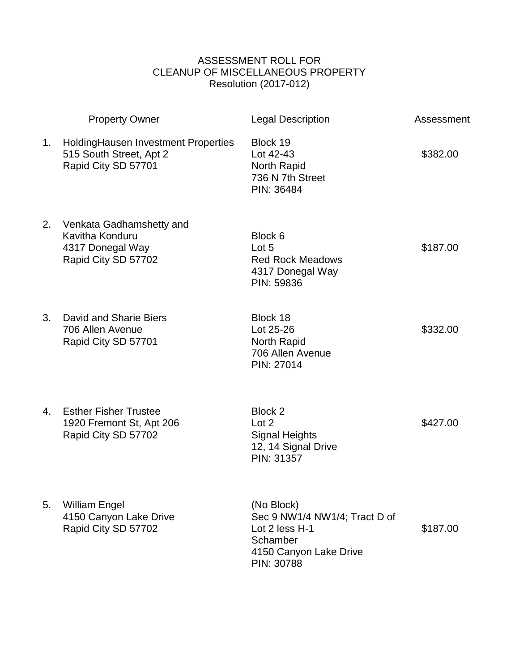## ASSESSMENT ROLL FOR CLEANUP OF MISCELLANEOUS PROPERTY Resolution (2017-012)

|    | <b>Property Owner</b>                                                                  | <b>Legal Description</b>                                                                                          | Assessment |
|----|----------------------------------------------------------------------------------------|-------------------------------------------------------------------------------------------------------------------|------------|
| 1. | Holding Hausen Investment Properties<br>515 South Street, Apt 2<br>Rapid City SD 57701 | Block 19<br>Lot 42-43<br>North Rapid<br>736 N 7th Street<br>PIN: 36484                                            | \$382.00   |
| 2. | Venkata Gadhamshetty and<br>Kavitha Konduru<br>4317 Donegal Way<br>Rapid City SD 57702 | Block 6<br>Lot 5<br><b>Red Rock Meadows</b><br>4317 Donegal Way<br>PIN: 59836                                     | \$187.00   |
| 3. | David and Sharie Biers<br>706 Allen Avenue<br>Rapid City SD 57701                      | Block 18<br>Lot 25-26<br>North Rapid<br>706 Allen Avenue<br>PIN: 27014                                            | \$332.00   |
| 4. | <b>Esther Fisher Trustee</b><br>1920 Fremont St, Apt 206<br>Rapid City SD 57702        | Block 2<br>Lot 2<br><b>Signal Heights</b><br>12, 14 Signal Drive<br>PIN: 31357                                    | \$427.00   |
| 5. | <b>William Engel</b><br>4150 Canyon Lake Drive<br>Rapid City SD 57702                  | (No Block)<br>Sec 9 NW1/4 NW1/4; Tract D of<br>Lot 2 less H-1<br>Schamber<br>4150 Canyon Lake Drive<br>PIN: 30788 | \$187.00   |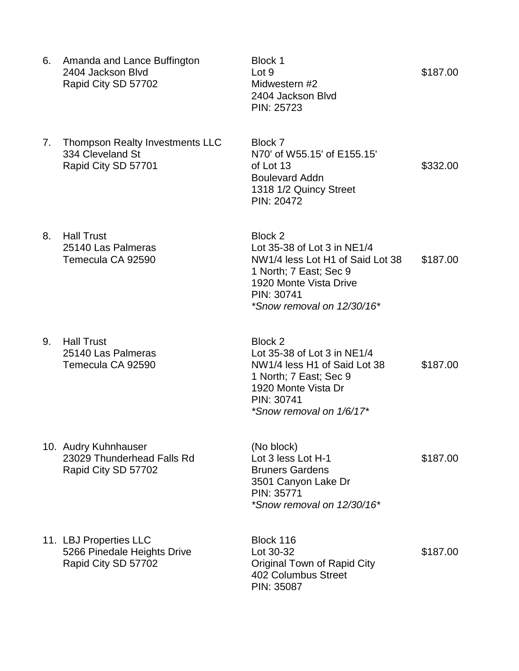- 6. Amanda and Lance Buffington Block 1 2404 Jackson Blvd Lot 9 \$187.00 Rapid City SD 57702 Midwestern #2
- 7. Thompson Realty Investments LLC Block 7 334 Cleveland St N70' of W55.15' of E155.15'
- 8. Hall Trust Block 2

9. Hall Trust Block 2

- 10. Audry Kuhnhauser (No block) Rapid City SD 57702 Bruners Gardens
- 11. LBJ Properties LLC Block 116 Rapid City SD 57702 Original Town of Rapid City

2404 Jackson Blvd PIN: 25723

Rapid City SD 57701 of Lot 13 \$332.00 Boulevard Addn 1318 1/2 Quincy Street PIN: 20472

25140 Las Palmeras Lot 35-38 of Lot 3 in NE1/4 Temecula CA 92590 NW1/4 less Lot H1 of Said Lot 38 \$187.00 1 North; 7 East; Sec 9 1920 Monte Vista Drive PIN: 30741 *\*Snow removal on 12/30/16\**

25140 Las Palmeras Lot 35-38 of Lot 3 in NE1/4 Temecula CA 92590 NW1/4 less H1 of Said Lot 38 \$187.00 1 North; 7 East; Sec 9 1920 Monte Vista Dr PIN: 30741 *\*Snow removal on 1/6/17\**

23029 Thunderhead Falls Rd Lot 3 less Lot H-1 \$187.00 3501 Canyon Lake Dr PIN: 35771 *\*Snow removal on 12/30/16\**

5266 Pinedale Heights Drive Lot 30-32 \$187.00 402 Columbus Street PIN: 35087